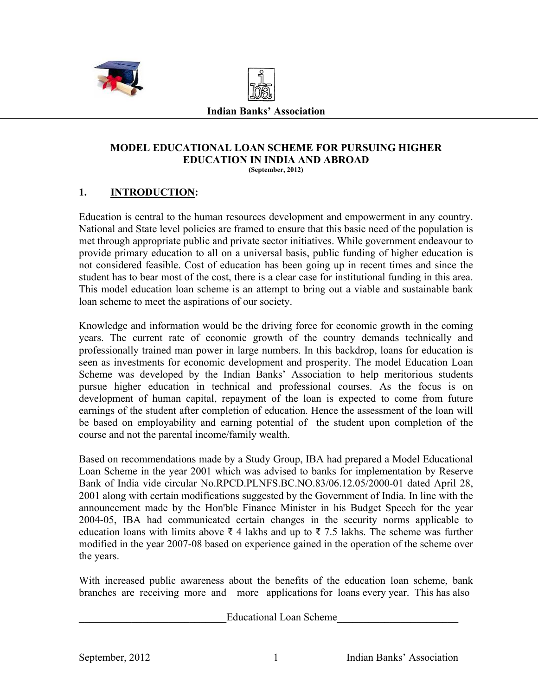



#### **Indian Banks' Association**

#### **MODEL EDUCATIONAL LOAN SCHEME FOR PURSUING HIGHER EDUCATION IN INDIA AND ABROAD (September, 2012)**

### **1. INTRODUCTION:**

Education is central to the human resources development and empowerment in any country. National and State level policies are framed to ensure that this basic need of the population is met through appropriate public and private sector initiatives. While government endeavour to provide primary education to all on a universal basis, public funding of higher education is not considered feasible. Cost of education has been going up in recent times and since the student has to bear most of the cost, there is a clear case for institutional funding in this area. This model education loan scheme is an attempt to bring out a viable and sustainable bank loan scheme to meet the aspirations of our society.

Knowledge and information would be the driving force for economic growth in the coming years. The current rate of economic growth of the country demands technically and professionally trained man power in large numbers. In this backdrop, loans for education is seen as investments for economic development and prosperity. The model Education Loan Scheme was developed by the Indian Banks' Association to help meritorious students pursue higher education in technical and professional courses. As the focus is on development of human capital, repayment of the loan is expected to come from future earnings of the student after completion of education. Hence the assessment of the loan will be based on employability and earning potential of the student upon completion of the course and not the parental income/family wealth.

Based on recommendations made by a Study Group, IBA had prepared a Model Educational Loan Scheme in the year 2001 which was advised to banks for implementation by Reserve Bank of India vide circular No.RPCD.PLNFS.BC.NO.83/06.12.05/2000-01 dated April 28, 2001 along with certain modifications suggested by the Government of India. In line with the announcement made by the Hon'ble Finance Minister in his Budget Speech for the year 2004-05, IBA had communicated certain changes in the security norms applicable to education loans with limits above  $\bar{\xi}$  4 lakhs and up to  $\bar{\xi}$  7.5 lakhs. The scheme was further modified in the year 2007-08 based on experience gained in the operation of the scheme over the years.

With increased public awareness about the benefits of the education loan scheme, bank branches are receiving more and more applications for loans every year. This has also

Educational Loan Scheme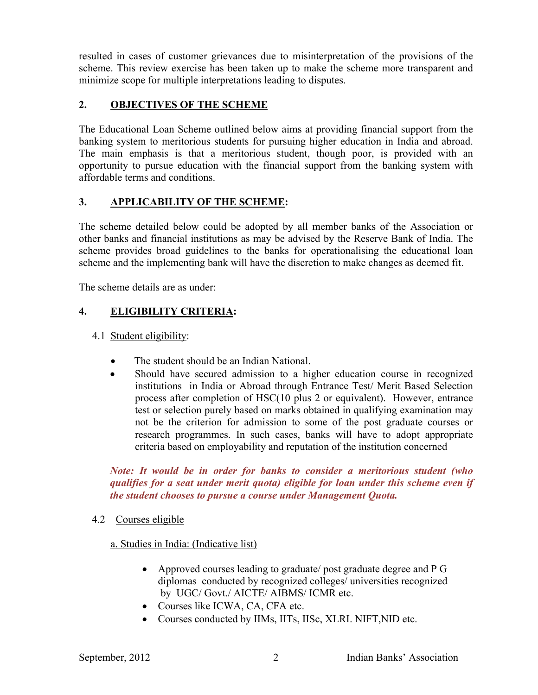resulted in cases of customer grievances due to misinterpretation of the provisions of the scheme. This review exercise has been taken up to make the scheme more transparent and minimize scope for multiple interpretations leading to disputes.

# **2. OBJECTIVES OF THE SCHEME**

The Educational Loan Scheme outlined below aims at providing financial support from the banking system to meritorious students for pursuing higher education in India and abroad. The main emphasis is that a meritorious student, though poor, is provided with an opportunity to pursue education with the financial support from the banking system with affordable terms and conditions.

### **3. APPLICABILITY OF THE SCHEME:**

The scheme detailed below could be adopted by all member banks of the Association or other banks and financial institutions as may be advised by the Reserve Bank of India. The scheme provides broad guidelines to the banks for operationalising the educational loan scheme and the implementing bank will have the discretion to make changes as deemed fit.

The scheme details are as under:

# **4. ELIGIBILITY CRITERIA:**

- 4.1 Student eligibility:
	- The student should be an Indian National.
	- Should have secured admission to a higher education course in recognized institutions in India or Abroad through Entrance Test/ Merit Based Selection process after completion of HSC(10 plus 2 or equivalent). However, entrance test or selection purely based on marks obtained in qualifying examination may not be the criterion for admission to some of the post graduate courses or research programmes. In such cases, banks will have to adopt appropriate criteria based on employability and reputation of the institution concerned

*Note: It would be in order for banks to consider a meritorious student (who qualifies for a seat under merit quota) eligible for loan under this scheme even if the student chooses to pursue a course under Management Quota.*

4.2 Courses eligible

### a. Studies in India: (Indicative list)

- Approved courses leading to graduate/ post graduate degree and P G diplomas conducted by recognized colleges/ universities recognized by UGC/ Govt./ AICTE/ AIBMS/ ICMR etc.
- Courses like ICWA, CA, CFA etc.
- Courses conducted by IIMs, IITs, IISc, XLRI. NIFT,NID etc.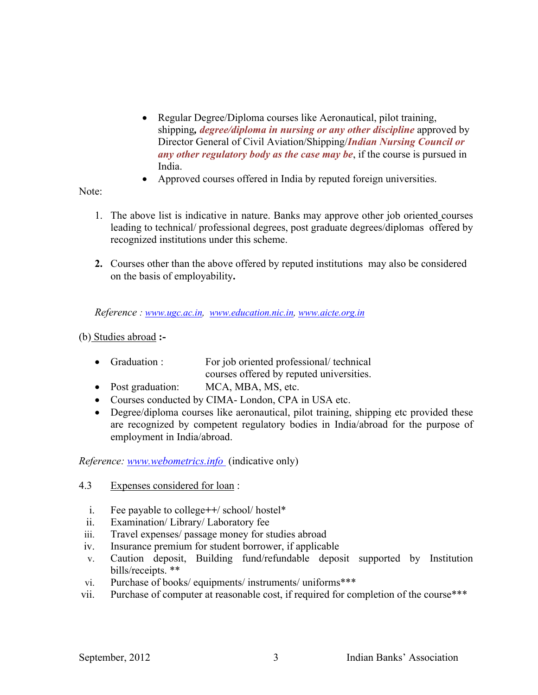- Regular Degree/Diploma courses like Aeronautical, pilot training, shipping*, degree/diploma in nursing or any other discipline* approved by Director General of Civil Aviation/Shipping/*Indian Nursing Council or any other regulatory body as the case may be*, if the course is pursued in India.
- Approved courses offered in India by reputed foreign universities.

Note:

- 1. The above list is indicative in nature. Banks may approve other job oriented courses leading to technical/ professional degrees, post graduate degrees/diplomas offered by recognized institutions under this scheme.
- **2.** Courses other than the above offered by reputed institutions may also be considered on the basis of employability**.**

*Reference : [www.ugc.ac.in](http://www.ugc.ac.in/), [www.education.nic.in](http://www.education.nic.in/), [www.aicte.org.in](http://www.aicte.org.in/)*

(b) Studies abroad **:-**

- Graduation : For job oriented professional/ technical courses offered by reputed universities.
- Post graduation: MCA, MBA, MS, etc.
- Courses conducted by CIMA- London, CPA in USA etc.
- Degree/diploma courses like aeronautical, pilot training, shipping etc provided these are recognized by competent regulatory bodies in India/abroad for the purpose of employment in India/abroad.

*Reference: [www.webometrics.info](http://www.webometrics.info (indicative)* (indicative only)

- 4.3 Expenses considered for loan :
	- i. Fee payable to college*++*/ school/ hostel\*
	- ii. Examination/ Library/ Laboratory fee
- iii. Travel expenses/ passage money for studies abroad
- iv. Insurance premium for student borrower, if applicable
- v. Caution deposit, Building fund/refundable deposit supported by Institution bills/receipts. \*\*
- vi. Purchase of books/ equipments/ instruments/ uniforms\*\*\*
- vii. Purchase of computer at reasonable cost, if required for completion of the course\*\*\*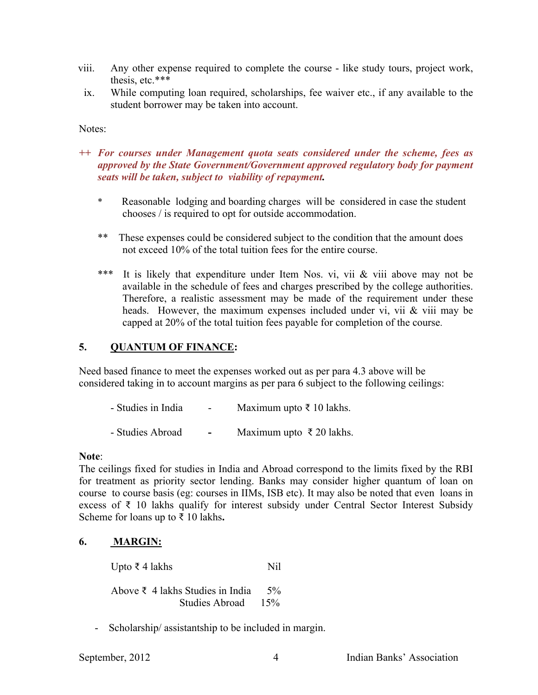- viii. Any other expense required to complete the course like study tours, project work, thesis, etc.\*\*\*
	- ix. While computing loan required, scholarships, fee waiver etc., if any available to the student borrower may be taken into account.

Notes:

- *++ For courses under Management quota seats considered under the scheme, fees as approved by the State Government/Government approved regulatory body for payment seats will be taken, subject to viability of repayment.*
	- \* Reasonable lodging and boarding charges will be considered in case the student chooses / is required to opt for outside accommodation.
	- \*\* These expenses could be considered subject to the condition that the amount does not exceed 10% of the total tuition fees for the entire course.
	- \*\*\* It is likely that expenditure under Item Nos. vi, vii & viii above may not be available in the schedule of fees and charges prescribed by the college authorities. Therefore, a realistic assessment may be made of the requirement under these heads. However, the maximum expenses included under vi, vii & viii may be capped at 20% of the total tuition fees payable for completion of the course.

### **5. QUANTUM OF FINANCE:**

Need based finance to meet the expenses worked out as per para 4.3 above will be considered taking in to account margins as per para 6 subject to the following ceilings:

- $-$  Studies in India  $-$  Maximum upto  $\bar{\tau}$  10 lakhs.
- Studies AbroadMaximum upto ₹ 20 lakhs.

#### **Note**:

The ceilings fixed for studies in India and Abroad correspond to the limits fixed by the RBI for treatment as priority sector lending. Banks may consider higher quantum of loan on course to course basis (eg: courses in IIMs, ISB etc). It may also be noted that even loans in excess of ₹ 10 lakhs qualify for interest subsidy under Central Sector Interest Subsidy Scheme for loans up to ₹ 10 lakhs**.**

### **6. MARGIN:**

Upto ₹ 4 lakhs Nil

Above ₹ 4 lakhs Studies in India 5% Studies Abroad 15%

- Scholarship/ assistantship to be included in margin.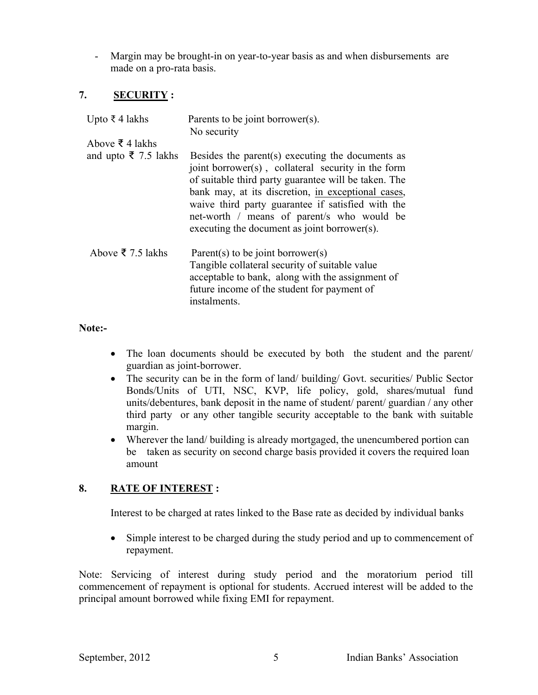- Margin may be brought-in on year-to-year basis as and when disbursements are made on a pro-rata basis.

# **7. SECURITY :**

| Upto ₹4 lakhs                       | Parents to be joint borrower(s).<br>No security                                                                                                                                                                                                                                                                                                                         |
|-------------------------------------|-------------------------------------------------------------------------------------------------------------------------------------------------------------------------------------------------------------------------------------------------------------------------------------------------------------------------------------------------------------------------|
| Above $\bar{\xi}$ 4 lakhs           |                                                                                                                                                                                                                                                                                                                                                                         |
| and upto $\overline{\xi}$ 7.5 lakhs | Besides the parent(s) executing the documents as<br>joint borrower(s), collateral security in the form<br>of suitable third party guarantee will be taken. The<br>bank may, at its discretion, in exceptional cases,<br>waive third party guarantee if satisfied with the<br>net-worth / means of parent/s who would be<br>executing the document as joint borrower(s). |
| Above ₹ 7.5 lakhs                   | Parent(s) to be joint borrower(s)<br>Tangible collateral security of suitable value<br>acceptable to bank, along with the assignment of<br>future income of the student for payment of<br>instalments.                                                                                                                                                                  |

### **Note:-**

- The loan documents should be executed by both the student and the parent/ guardian as joint-borrower.
- The security can be in the form of land/ building/ Govt. securities/ Public Sector Bonds/Units of UTI, NSC, KVP, life policy, gold, shares/mutual fund units/debentures, bank deposit in the name of student/ parent/ guardian / any other third party or any other tangible security acceptable to the bank with suitable margin.
- Wherever the land/ building is already mortgaged, the unencumbered portion can be taken as security on second charge basis provided it covers the required loan amount

# **8. RATE OF INTEREST :**

Interest to be charged at rates linked to the Base rate as decided by individual banks

• Simple interest to be charged during the study period and up to commencement of repayment.

Note: Servicing of interest during study period and the moratorium period till commencement of repayment is optional for students. Accrued interest will be added to the principal amount borrowed while fixing EMI for repayment.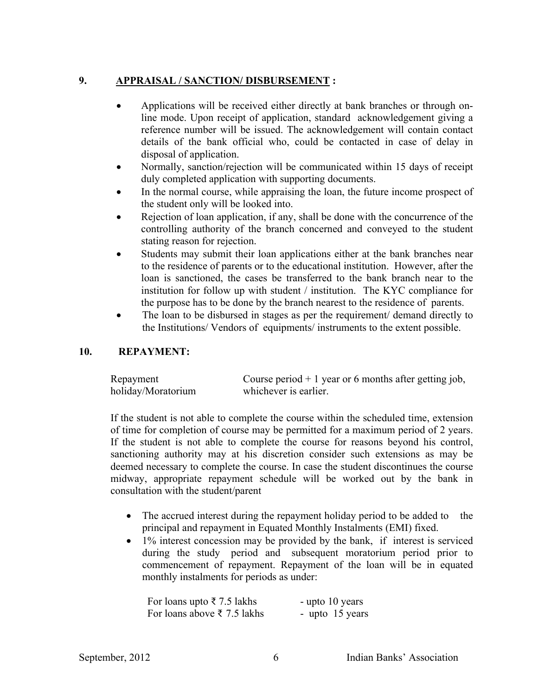### **9. APPRAISAL / SANCTION/ DISBURSEMENT :**

- Applications will be received either directly at bank branches or through online mode. Upon receipt of application, standard acknowledgement giving a reference number will be issued. The acknowledgement will contain contact details of the bank official who, could be contacted in case of delay in disposal of application.
- Normally, sanction/rejection will be communicated within 15 days of receipt duly completed application with supporting documents.
- In the normal course, while appraising the loan, the future income prospect of the student only will be looked into.
- Rejection of loan application, if any, shall be done with the concurrence of the controlling authority of the branch concerned and conveyed to the student stating reason for rejection.
- Students may submit their loan applications either at the bank branches near to the residence of parents or to the educational institution. However, after the loan is sanctioned, the cases be transferred to the bank branch near to the institution for follow up with student / institution. The KYC compliance for the purpose has to be done by the branch nearest to the residence of parents.
- The loan to be disbursed in stages as per the requirement/ demand directly to the Institutions/ Vendors of equipments/ instruments to the extent possible.

### **10. REPAYMENT:**

| Repayment          | Course period $+1$ year or 6 months after getting job, |
|--------------------|--------------------------------------------------------|
| holiday/Moratorium | whichever is earlier.                                  |

If the student is not able to complete the course within the scheduled time, extension of time for completion of course may be permitted for a maximum period of 2 years. If the student is not able to complete the course for reasons beyond his control, sanctioning authority may at his discretion consider such extensions as may be deemed necessary to complete the course. In case the student discontinues the course midway, appropriate repayment schedule will be worked out by the bank in consultation with the student/parent

- The accrued interest during the repayment holiday period to be added to the principal and repayment in Equated Monthly Instalments (EMI) fixed.
- 1% interest concession may be provided by the bank, if interest is serviced during the study period and subsequent moratorium period prior to commencement of repayment. Repayment of the loan will be in equated monthly instalments for periods as under:

| For loans upto $\bar{\tau}$ 7.5 lakhs | - upto 10 years |
|---------------------------------------|-----------------|
| For loans above ₹ 7.5 lakhs           | - upto 15 years |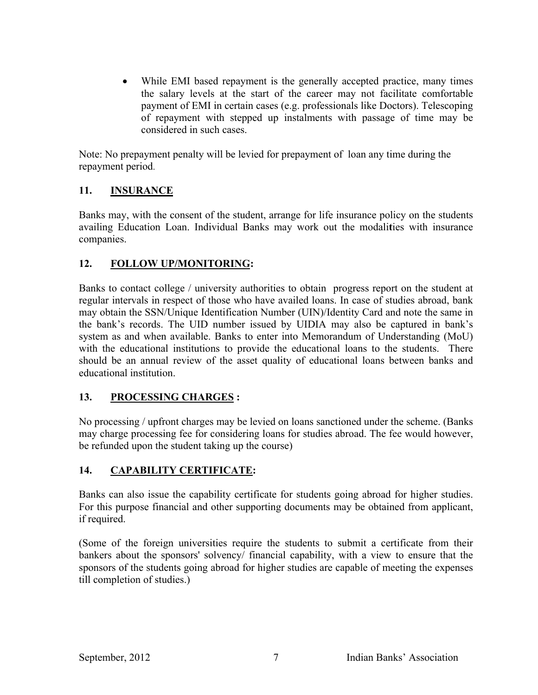While EMI based repayment is the generally accepted practice, many times the salary levels at the start of the career may not facilitate comfortable payment of EMI in certain cases (e.g. professionals like Doctors). Telescoping of repayment with stepped up instalments with passage of time may be considered in such cases.

Note: No prepayment penalty will be levied for prepayment of loan any time during the repayment period.

# **11. INSURANCE**

Banks may, with the consent of the student, arrange for life insurance policy on the students availing Education Loan. Individual Banks may work out the modali**t**ies with insurance companies.

# **12. FOLLOW UP/MONITORING:**

Banks to contact college / university authorities to obtain progress report on the student at regular intervals in respect of those who have availed loans. In case of studies abroad, bank may obtain the SSN/Unique Identification Number (UIN)/Identity Card and note the same in the bank's records. The UID number issued by UIDIA may also be captured in bank's system as and when available. Banks to enter into Memorandum of Understanding (MoU) with the educational institutions to provide the educational loans to the students. There should be an annual review of the asset quality of educational loans between banks and educational institution.

# **13. PROCESSING CHARGES :**

No processing / upfront charges may be levied on loans sanctioned under the scheme. (Banks may charge processing fee for considering loans for studies abroad. The fee would however, be refunded upon the student taking up the course)

# **14. CAPABILITY CERTIFICATE:**

Banks can also issue the capability certificate for students going abroad for higher studies. For this purpose financial and other supporting documents may be obtained from applicant, if required.

(Some of the foreign universities require the students to submit a certificate from their bankers about the sponsors' solvency/ financial capability, with a view to ensure that the sponsors of the students going abroad for higher studies are capable of meeting the expenses till completion of studies.)